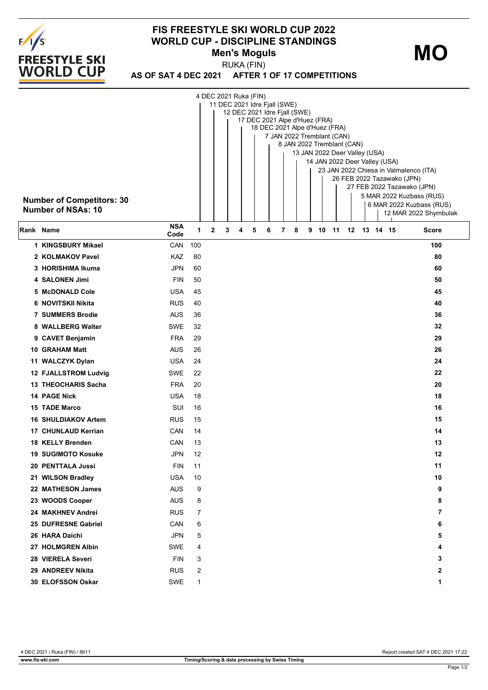

## **FIS FREESTYLE SKI WORLD CUP 2022 WORLD CUP - DISCIPLINE STANDINGS Men's Moguls**

**MO**

**AS OF SAT 4 DEC 2021 AFTER 1 OF 17 COMPETITIONS** RUKA (FIN)

| <b>Number of Competitors: 30</b><br><b>Number of NSAs: 10</b> | 4 DEC 2021 Ruka (FIN)<br>11 DEC 2021 Idre Fjall (SWE)<br>12 DEC 2021 Idre Fjall (SWE)<br>17 DEC 2021 Alpe d'Huez (FRA)<br>18 DEC 2021 Alpe d'Huez (FRA)<br>7 JAN 2022 Tremblant (CAN)<br>8 JAN 2022 Tremblant (CAN)<br>13 JAN 2022 Deer Valley (USA)<br>14 JAN 2022 Deer Valley (USA)<br>23 JAN 2022 Chiesa in Valmalenco (ITA)<br>26 FEB 2022 Tazawako (JPN)<br>27 FEB 2022 Tazawako (JPN)<br>5 MAR 2022 Kuzbass (RUS)<br>6 MAR 2022 Kuzbass (RUS)<br>12 MAR 2022 Shymbulak |     |   |   |  |   |   |   |   |   |   |    |    |  |             |  |              |
|---------------------------------------------------------------|------------------------------------------------------------------------------------------------------------------------------------------------------------------------------------------------------------------------------------------------------------------------------------------------------------------------------------------------------------------------------------------------------------------------------------------------------------------------------|-----|---|---|--|---|---|---|---|---|---|----|----|--|-------------|--|--------------|
| Rank Name                                                     | <b>NSA</b><br>Code                                                                                                                                                                                                                                                                                                                                                                                                                                                           | 1   | 2 | 3 |  | 4 | 5 | 6 | 7 | 8 | 9 | 10 | 11 |  | 12 13 14 15 |  | <b>Score</b> |
| 1 KINGSBURY Mikael                                            | CAN                                                                                                                                                                                                                                                                                                                                                                                                                                                                          | 100 |   |   |  |   |   |   |   |   |   |    |    |  |             |  | 100          |
| 2 KOLMAKOV Pavel                                              | KAZ                                                                                                                                                                                                                                                                                                                                                                                                                                                                          | 80  |   |   |  |   |   |   |   |   |   |    |    |  |             |  | 80           |
| 3 HORISHIMA Ikuma                                             | JPN                                                                                                                                                                                                                                                                                                                                                                                                                                                                          | 60  |   |   |  |   |   |   |   |   |   |    |    |  |             |  | 60           |
| 4 SALONEN Jimi                                                | <b>FIN</b>                                                                                                                                                                                                                                                                                                                                                                                                                                                                   | 50  |   |   |  |   |   |   |   |   |   |    |    |  |             |  | 50           |
| 5 McDONALD Cole                                               | <b>USA</b>                                                                                                                                                                                                                                                                                                                                                                                                                                                                   | 45  |   |   |  |   |   |   |   |   |   |    |    |  |             |  | 45           |
| 6 NOVITSKII Nikita                                            | <b>RUS</b>                                                                                                                                                                                                                                                                                                                                                                                                                                                                   | 40  |   |   |  |   |   |   |   |   |   |    |    |  |             |  | 40           |
| <b>7 SUMMERS Brodie</b>                                       | <b>AUS</b>                                                                                                                                                                                                                                                                                                                                                                                                                                                                   | 36  |   |   |  |   |   |   |   |   |   |    |    |  |             |  | 36           |
| 8 WALLBERG Walter                                             | <b>SWE</b>                                                                                                                                                                                                                                                                                                                                                                                                                                                                   | 32  |   |   |  |   |   |   |   |   |   |    |    |  |             |  | 32           |
| 9 CAVET Benjamin                                              | <b>FRA</b>                                                                                                                                                                                                                                                                                                                                                                                                                                                                   | 29  |   |   |  |   |   |   |   |   |   |    |    |  |             |  | 29           |
| <b>10 GRAHAM Matt</b>                                         | <b>AUS</b>                                                                                                                                                                                                                                                                                                                                                                                                                                                                   | 26  |   |   |  |   |   |   |   |   |   |    |    |  |             |  | 26           |
| 11 WALCZYK Dylan                                              | <b>USA</b>                                                                                                                                                                                                                                                                                                                                                                                                                                                                   | 24  |   |   |  |   |   |   |   |   |   |    |    |  |             |  | 24           |
| 12 FJALLSTROM Ludvig                                          | <b>SWE</b>                                                                                                                                                                                                                                                                                                                                                                                                                                                                   | 22  |   |   |  |   |   |   |   |   |   |    |    |  |             |  | 22           |
| 13 THEOCHARIS Sacha                                           | <b>FRA</b>                                                                                                                                                                                                                                                                                                                                                                                                                                                                   | 20  |   |   |  |   |   |   |   |   |   |    |    |  |             |  | 20           |
| <b>14 PAGE Nick</b>                                           | USA                                                                                                                                                                                                                                                                                                                                                                                                                                                                          | 18  |   |   |  |   |   |   |   |   |   |    |    |  |             |  | 18           |
| <b>15 TADE Marco</b>                                          | SUI                                                                                                                                                                                                                                                                                                                                                                                                                                                                          | 16  |   |   |  |   |   |   |   |   |   |    |    |  |             |  | 16           |
| <b>16 SHULDIAKOV Artem</b>                                    | <b>RUS</b>                                                                                                                                                                                                                                                                                                                                                                                                                                                                   | 15  |   |   |  |   |   |   |   |   |   |    |    |  |             |  | 15           |
| 17 CHUNLAUD Kerrian                                           | CAN                                                                                                                                                                                                                                                                                                                                                                                                                                                                          | 14  |   |   |  |   |   |   |   |   |   |    |    |  |             |  | 14           |
| 18 KELLY Brenden                                              | CAN                                                                                                                                                                                                                                                                                                                                                                                                                                                                          | 13  |   |   |  |   |   |   |   |   |   |    |    |  |             |  | 13           |
| <b>19 SUGIMOTO Kosuke</b>                                     | <b>JPN</b>                                                                                                                                                                                                                                                                                                                                                                                                                                                                   | 12  |   |   |  |   |   |   |   |   |   |    |    |  |             |  | 12           |
| 20 PENTTALA Jussi                                             | <b>FIN</b>                                                                                                                                                                                                                                                                                                                                                                                                                                                                   | 11  |   |   |  |   |   |   |   |   |   |    |    |  |             |  | 11           |
| 21 WILSON Bradley                                             | <b>USA</b>                                                                                                                                                                                                                                                                                                                                                                                                                                                                   | 10  |   |   |  |   |   |   |   |   |   |    |    |  |             |  | 10           |
| 22 MATHESON James                                             | <b>AUS</b>                                                                                                                                                                                                                                                                                                                                                                                                                                                                   | 9   |   |   |  |   |   |   |   |   |   |    |    |  |             |  | 9            |
| 23 WOODS Cooper                                               | <b>AUS</b>                                                                                                                                                                                                                                                                                                                                                                                                                                                                   | 8   |   |   |  |   |   |   |   |   |   |    |    |  |             |  | 8            |
| 24 MAKHNEV Andrei                                             | <b>RUS</b>                                                                                                                                                                                                                                                                                                                                                                                                                                                                   | 7   |   |   |  |   |   |   |   |   |   |    |    |  |             |  | 7            |
| 25 DUFRESNE Gabriel                                           | CAN                                                                                                                                                                                                                                                                                                                                                                                                                                                                          | 6   |   |   |  |   |   |   |   |   |   |    |    |  |             |  | 6            |
| 26 HARA Daichi                                                | JPN                                                                                                                                                                                                                                                                                                                                                                                                                                                                          | 5   |   |   |  |   |   |   |   |   |   |    |    |  |             |  | 5            |
| 27 HOLMGREN Albin                                             | <b>SWE</b>                                                                                                                                                                                                                                                                                                                                                                                                                                                                   | 4   |   |   |  |   |   |   |   |   |   |    |    |  |             |  | 4            |
| 28 VIERELA Severi                                             | <b>FIN</b>                                                                                                                                                                                                                                                                                                                                                                                                                                                                   | 3   |   |   |  |   |   |   |   |   |   |    |    |  |             |  | 3            |
| 29 ANDREEV Nikita                                             | <b>RUS</b>                                                                                                                                                                                                                                                                                                                                                                                                                                                                   | 2   |   |   |  |   |   |   |   |   |   |    |    |  |             |  | $\mathbf 2$  |
| 30 ELOFSSON Oskar                                             | <b>SWE</b>                                                                                                                                                                                                                                                                                                                                                                                                                                                                   | 1   |   |   |  |   |   |   |   |   |   |    |    |  |             |  | 1            |